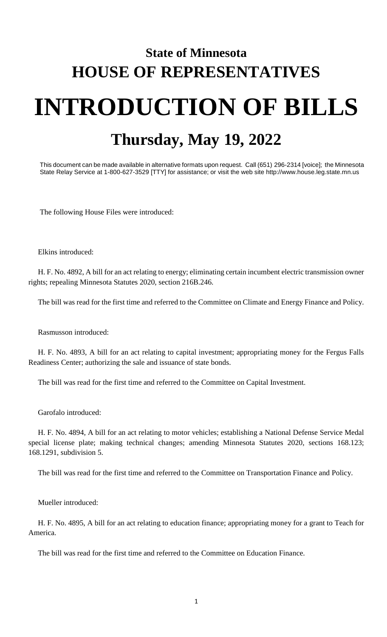## **State of Minnesota HOUSE OF REPRESENTATIVES INTRODUCTION OF BILLS Thursday, May 19, 2022**

This document can be made available in alternative formats upon request. Call (651) 296-2314 [voice]; the Minnesota State Relay Service at 1-800-627-3529 [TTY] for assistance; or visit the web site http://www.house.leg.state.mn.us

The following House Files were introduced:

Elkins introduced:

H. F. No. 4892, A bill for an act relating to energy; eliminating certain incumbent electric transmission owner rights; repealing Minnesota Statutes 2020, section 216B.246.

The bill was read for the first time and referred to the Committee on Climate and Energy Finance and Policy.

Rasmusson introduced:

H. F. No. 4893, A bill for an act relating to capital investment; appropriating money for the Fergus Falls Readiness Center; authorizing the sale and issuance of state bonds.

The bill was read for the first time and referred to the Committee on Capital Investment.

Garofalo introduced:

H. F. No. 4894, A bill for an act relating to motor vehicles; establishing a National Defense Service Medal special license plate; making technical changes; amending Minnesota Statutes 2020, sections 168.123; 168.1291, subdivision 5.

The bill was read for the first time and referred to the Committee on Transportation Finance and Policy.

Mueller introduced:

H. F. No. 4895, A bill for an act relating to education finance; appropriating money for a grant to Teach for America.

The bill was read for the first time and referred to the Committee on Education Finance.